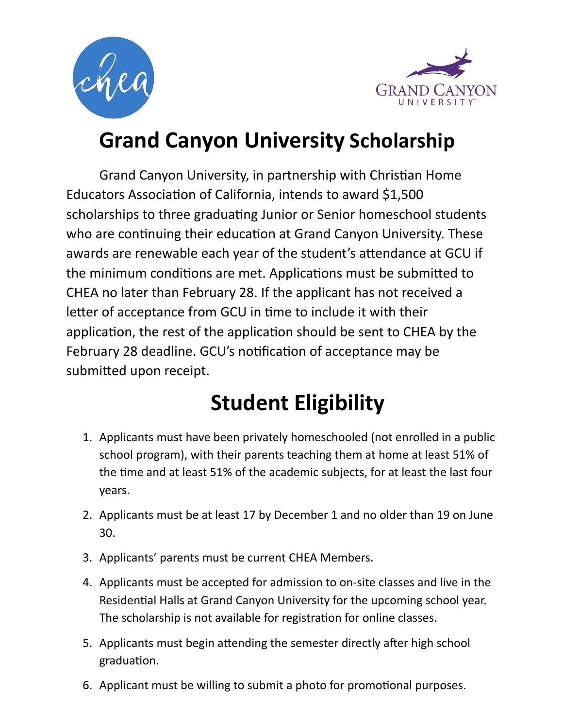



### **Grand Canyon University Scholarship**

Grand Canyon University, in partnership with Christian Home Educators Association of California, intends to award \$1,500 scholarships to three graduating Junior or Senior homeschool students who are continuing their education at Grand Canyon University. These awards are renewable each year of the student's attendance at GCU if the minimum conditions are met. Applications must be submitted to CHEA no later than February 28. If the applicant has not received a letter of acceptance from GCU in time to include it with their application, the rest of the application should be sent to CHEA by the February 28 deadline. GCU's notification of acceptance may be submitted upon receipt.

## **Student Eligibility**

- 1. Applicants must have been privately homeschooled (not enrolled in a public school program), with their parents teaching them at home at least 51% of the time and at least 51% of the academic subjects, for at least the last four years.
- 2. Applicants must be at least 17 by December 1 and no older than 19 on June 30.
- 3. Applicants' parents must be current CHEA Members.
- 4. Applicants must be accepted for admission to on-site classes and live in the Residential Halls at Grand Canyon University for the upcoming school year. The scholarship is not available for registration for online classes.
- 5. Applicants must begin attending the semester directly after high school graduation.
- 6. Applicant must be willing to submit a photo for promotional purposes.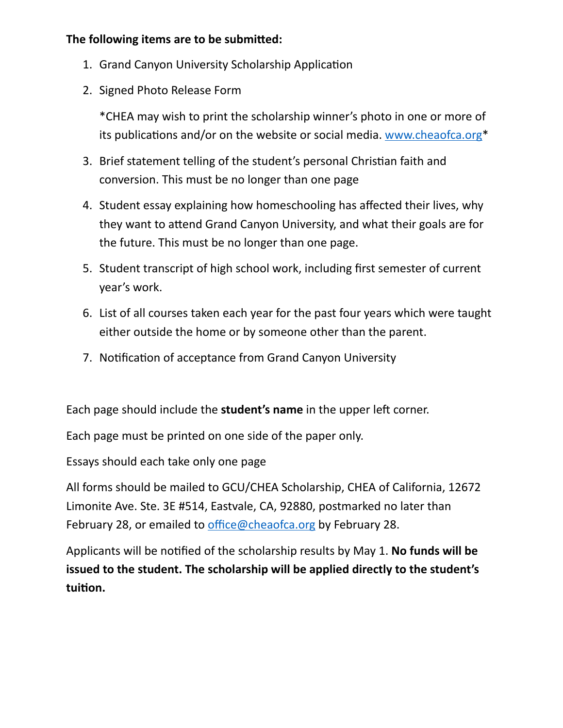#### **The following items are to be submitted:**

- 1. Grand Canyon University Scholarship Application
- 2. Signed Photo Release Form

\*CHEA may wish to print the scholarship winner's photo in one or more of its publications and/or on the website or social media. [www.cheaofca.org\\*](http://www.cheaofca.org)

- 3. Brief statement telling of the student's personal Christian faith and conversion. This must be no longer than one page
- 4. Student essay explaining how homeschooling has affected their lives, why they want to attend Grand Canyon University, and what their goals are for the future. This must be no longer than one page.
- 5. Student transcript of high school work, including first semester of current year's work.
- 6. List of all courses taken each year for the past four years which were taught either outside the home or by someone other than the parent.
- 7. Notification of acceptance from Grand Canyon University

Each page should include the **student's name** in the upper left corner.

Each page must be printed on one side of the paper only.

Essays should each take only one page

All forms should be mailed to GCU/CHEA Scholarship, CHEA of California, 12672 Limonite Ave. Ste. 3E #514, Eastvale, CA, 92880, postmarked no later than February 28, or emailed to [office@cheaofca.org](mailto:office@cheaofca.org) by February 28.

Applicants will be notified of the scholarship results by May 1. No funds will be **issued to the student. The scholarship will be applied directly to the student's**  tuition.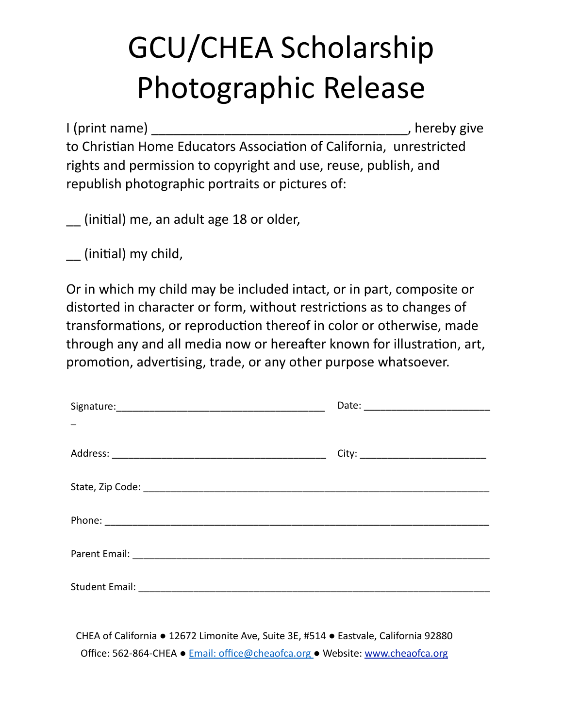# GCU/CHEA Scholarship Photographic Release

I (print name) \_\_\_\_\_\_\_\_\_\_\_\_\_\_\_\_\_\_\_\_\_\_\_\_\_\_\_\_\_\_\_\_\_\_\_, hereby give to Christian Home Educators Association of California, unrestricted rights and permission to copyright and use, reuse, publish, and republish photographic portraits or pictures of:

(initial) me, an adult age 18 or older,

 $\equiv$  (initial) my child,

Or in which my child may be included intact, or in part, composite or distorted in character or form, without restrictions as to changes of transformations, or reproduction thereof in color or otherwise, made through any and all media now or hereafter known for illustration, art, promotion, advertising, trade, or any other purpose whatsoever.

CHEA of California ● 12672 Limonite Ave, Suite 3E, #514 ● Eastvale, California 92880 Office: 562-864-CHEA ● [Email: office@cheaofca.org](mailto:Email%253A%2520office@cheaofca.org%2520) ● Website: [www.cheaofca.org](http://www.cheaofca.org)